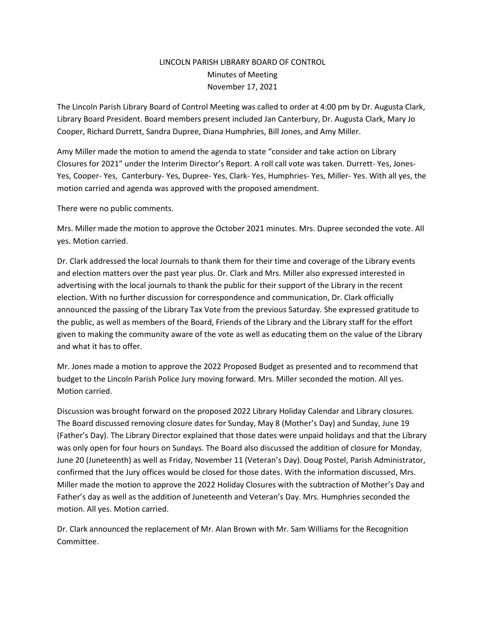## LINCOLN PARISH LIBRARY BOARD OF CONTROL Minutes of Meeting November 17, 2021

The Lincoln Parish Library Board of Control Meeting was called to order at 4:00 pm by Dr. Augusta Clark, Library Board President. Board members present included Jan Canterbury, Dr. Augusta Clark, Mary Jo Cooper, Richard Durrett, Sandra Dupree, Diana Humphries, Bill Jones, and Amy Miller.

Amy Miller made the motion to amend the agenda to state "consider and take action on Library Closures for 2021" under the Interim Director's Report. A roll call vote was taken. Durrett- Yes, Jones-Yes, Cooper- Yes, Canterbury- Yes, Dupree- Yes, Clark- Yes, Humphries- Yes, Miller- Yes. With all yes, the motion carried and agenda was approved with the proposed amendment.

There were no public comments.

Mrs. Miller made the motion to approve the October 2021 minutes. Mrs. Dupree seconded the vote. All yes. Motion carried.

Dr. Clark addressed the local Journals to thank them for their time and coverage of the Library events and election matters over the past year plus. Dr. Clark and Mrs. Miller also expressed interested in advertising with the local journals to thank the public for their support of the Library in the recent election. With no further discussion for correspondence and communication, Dr. Clark officially announced the passing of the Library Tax Vote from the previous Saturday. She expressed gratitude to the public, as well as members of the Board, Friends of the Library and the Library staff for the effort given to making the community aware of the vote as well as educating them on the value of the Library and what it has to offer.

Mr. Jones made a motion to approve the 2022 Proposed Budget as presented and to recommend that budget to the Lincoln Parish Police Jury moving forward. Mrs. Miller seconded the motion. All yes. Motion carried.

Discussion was brought forward on the proposed 2022 Library Holiday Calendar and Library closures. The Board discussed removing closure dates for Sunday, May 8 (Mother's Day) and Sunday, June 19 (Father's Day). The Library Director explained that those dates were unpaid holidays and that the Library was only open for four hours on Sundays. The Board also discussed the addition of closure for Monday, June 20 (Juneteenth) as well as Friday, November 11 (Veteran's Day). Doug Postel, Parish Administrator, confirmed that the Jury offices would be closed for those dates. With the information discussed, Mrs. Miller made the motion to approve the 2022 Holiday Closures with the subtraction of Mother's Day and Father's day as well as the addition of Juneteenth and Veteran's Day. Mrs. Humphries seconded the motion. All yes. Motion carried.

Dr. Clark announced the replacement of Mr. Alan Brown with Mr. Sam Williams for the Recognition Committee.